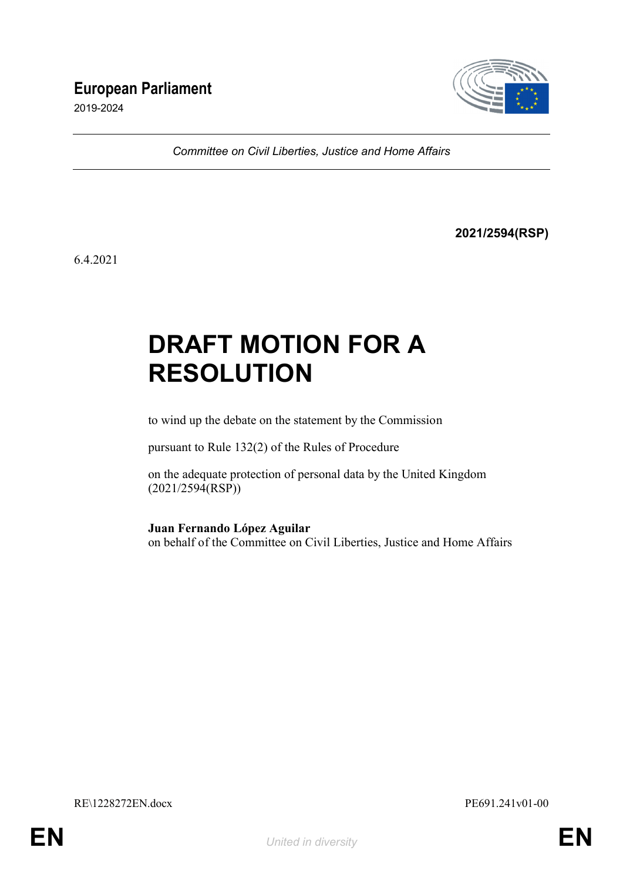# **European Parliament**

2019-2024



*Committee on Civil Liberties, Justice and Home Affairs*

**2021/2594(RSP)**

6.4.2021

# **DRAFT MOTION FOR A RESOLUTION**

to wind up the debate on the statement by the Commission

pursuant to Rule 132(2) of the Rules of Procedure

on the adequate protection of personal data by the United Kingdom (2021/2594(RSP))

**Juan Fernando López Aguilar** on behalf of the Committee on Civil Liberties, Justice and Home Affairs

RE\1228272EN.docx PE691.241v01-00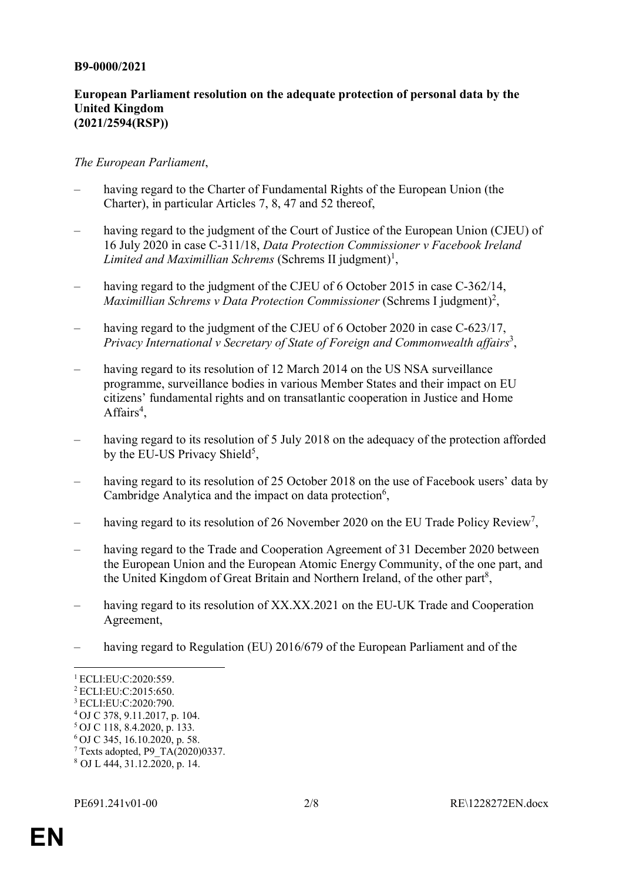#### **B9-0000/2021**

#### **European Parliament resolution on the adequate protection of personal data by the United Kingdom (2021/2594(RSP))**

#### *The European Parliament*,

- having regard to the Charter of Fundamental Rights of the European Union (the Charter), in particular Articles 7, 8, 47 and 52 thereof,
- having regard to the judgment of the Court of Justice of the European Union (CJEU) of 16 July 2020 in case C-311/18, *Data Protection Commissioner v Facebook Ireland Limited and Maximillian Schrems* (Schrems II judgment) 1 ,
- having regard to the judgment of the CJEU of 6 October 2015 in case C-362/14, *Maximillian Schrems v Data Protection Commissioner* (Schrems I judgment) 2 ,
- having regard to the judgment of the CJEU of 6 October 2020 in case C-623/17, Privacy International v Secretary of State of Foreign and Commonwealth affairs<sup>3</sup>,
- having regard to its resolution of 12 March 2014 on the US NSA surveillance programme, surveillance bodies in various Member States and their impact on EU citizens' fundamental rights and on transatlantic cooperation in Justice and Home Affairs<sup>4</sup>,
- having regard to its resolution of 5 July 2018 on the adequacy of the protection afforded by the EU-US Privacy Shield<sup>5</sup>,
- having regard to its resolution of 25 October 2018 on the use of Facebook users' data by Cambridge Analytica and the impact on data protection $6$ ,
- having regard to its resolution of 26 November 2020 on the EU Trade Policy Review<sup>7</sup>,
- having regard to the Trade and Cooperation Agreement of 31 December 2020 between the European Union and the European Atomic Energy Community, of the one part, and the United Kingdom of Great Britain and Northern Ireland, of the other part<sup>8</sup>,
- having regard to its resolution of XX.XX.2021 on the EU-UK Trade and Cooperation Agreement,
- having regard to Regulation (EU) 2016/679 of the European Parliament and of the

 $\overline{a}$ 

<sup>1</sup> ECLI:EU:C:2020:559.

<sup>2</sup> ECLI:EU:C:2015:650.

<sup>3</sup> ECLI:EU:C:2020:790.

<sup>4</sup> OJ C 378, 9.11.2017, p. 104.

<sup>5</sup> OJ C 118, 8.4.2020, p. 133.

<sup>6</sup> OJ C 345, 16.10.2020, p. 58.

<sup>&</sup>lt;sup>7</sup> Texts adopted, P9  $TA(2020)0337$ .

<sup>8</sup> OJ L 444, 31.12.2020, p. 14.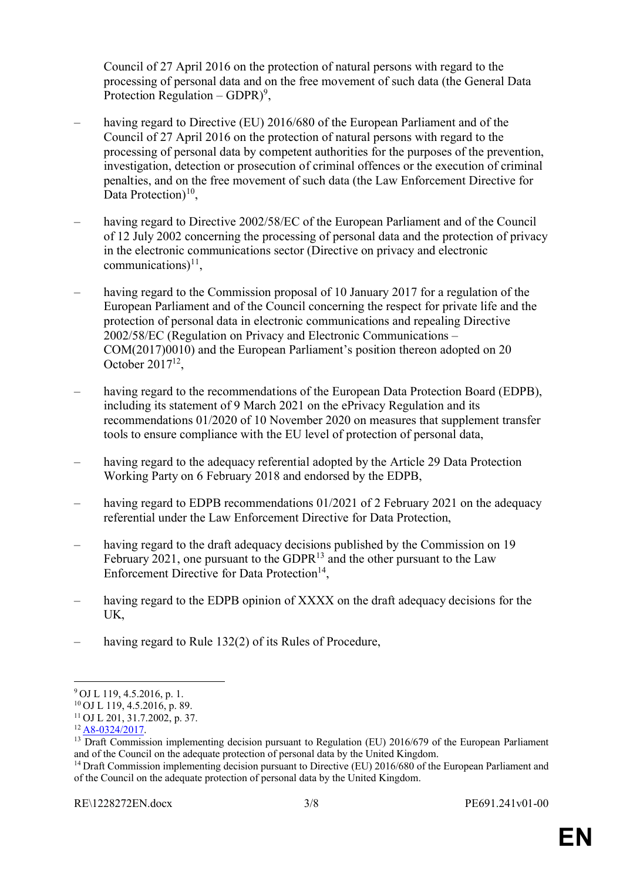Council of 27 April 2016 on the protection of natural persons with regard to the processing of personal data and on the free movement of such data (the General Data Protection Regulation – GDPR)<sup>9</sup>,

- having regard to Directive (EU) 2016/680 of the European Parliament and of the Council of 27 April 2016 on the protection of natural persons with regard to the processing of personal data by competent authorities for the purposes of the prevention, investigation, detection or prosecution of criminal offences or the execution of criminal penalties, and on the free movement of such data (the Law Enforcement Directive for Data Protection) $10$ ,
- having regard to Directive 2002/58/EC of the European Parliament and of the Council of 12 July 2002 concerning the processing of personal data and the protection of privacy in the electronic communications sector (Directive on privacy and electronic communications) $^{11}$ ,
- having regard to the Commission proposal of 10 January 2017 for a regulation of the European Parliament and of the Council concerning the respect for private life and the protection of personal data in electronic communications and repealing Directive 2002/58/EC (Regulation on Privacy and Electronic Communications – COM(2017)0010) and the European Parliament's position thereon adopted on 20 October  $2017^{12}$ ,
- having regard to the recommendations of the European Data Protection Board (EDPB), including its statement of 9 March 2021 on the ePrivacy Regulation and its recommendations 01/2020 of 10 November 2020 on measures that supplement transfer tools to ensure compliance with the EU level of protection of personal data,
- having regard to the adequacy referential adopted by the Article 29 Data Protection Working Party on 6 February 2018 and endorsed by the EDPB,
- having regard to EDPB recommendations 01/2021 of 2 February 2021 on the adequacy referential under the Law Enforcement Directive for Data Protection,
- having regard to the draft adequacy decisions published by the Commission on 19 February 2021, one pursuant to the GDPR $^{13}$  and the other pursuant to the Law Enforcement Directive for Data Protection<sup>14</sup>,
- having regard to the EDPB opinion of XXXX on the draft adequacy decisions for the UK,
- having regard to Rule 132(2) of its Rules of Procedure,

 $\overline{a}$ 

<sup>9</sup> OJ L 119, 4.5.2016, p. 1.

 $10$  OJ L 119, 4.5.2016, p. 89.

<sup>11</sup> OJ L 201, 31.7.2002, p. 37.

<sup>12</sup> A8-0324/2017.

<sup>&</sup>lt;sup>13</sup> Draft Commission implementing decision pursuant to Regulation (EU) 2016/679 of the European Parliament and of the Council on the adequate protection of personal data by the United Kingdom.

<sup>&</sup>lt;sup>14</sup> Draft Commission implementing decision pursuant to Directive (EU) 2016/680 of the European Parliament and of the Council on the adequate protection of personal data by the United Kingdom.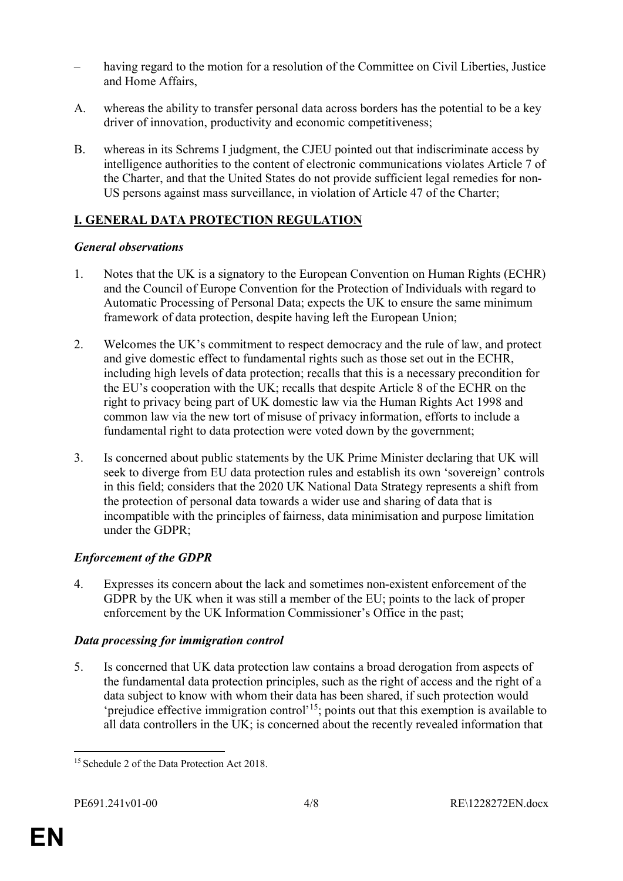- having regard to the motion for a resolution of the Committee on Civil Liberties, Justice and Home Affairs,
- A. whereas the ability to transfer personal data across borders has the potential to be a key driver of innovation, productivity and economic competitiveness;
- B. whereas in its Schrems I judgment, the CJEU pointed out that indiscriminate access by intelligence authorities to the content of electronic communications violates Article 7 of the Charter, and that the United States do not provide sufficient legal remedies for non-US persons against mass surveillance, in violation of Article 47 of the Charter;

# **I. GENERAL DATA PROTECTION REGULATION**

# *General observations*

- 1. Notes that the UK is a signatory to the European Convention on Human Rights (ECHR) and the Council of Europe Convention for the Protection of Individuals with regard to Automatic Processing of Personal Data; expects the UK to ensure the same minimum framework of data protection, despite having left the European Union;
- 2. Welcomes the UK's commitment to respect democracy and the rule of law, and protect and give domestic effect to fundamental rights such as those set out in the ECHR, including high levels of data protection; recalls that this is a necessary precondition for the EU's cooperation with the UK; recalls that despite Article 8 of the ECHR on the right to privacy being part of UK domestic law via the Human Rights Act 1998 and common law via the new tort of misuse of privacy information, efforts to include a fundamental right to data protection were voted down by the government;
- 3. Is concerned about public statements by the UK Prime Minister declaring that UK will seek to diverge from EU data protection rules and establish its own 'sovereign' controls in this field; considers that the 2020 UK National Data Strategy represents a shift from the protection of personal data towards a wider use and sharing of data that is incompatible with the principles of fairness, data minimisation and purpose limitation under the GDPR;

# *Enforcement of the GDPR*

4. Expresses its concern about the lack and sometimes non-existent enforcement of the GDPR by the UK when it was still a member of the EU; points to the lack of proper enforcement by the UK Information Commissioner's Office in the past;

# *Data processing for immigration control*

5. Is concerned that UK data protection law contains a broad derogation from aspects of the fundamental data protection principles, such as the right of access and the right of a data subject to know with whom their data has been shared, if such protection would 'prejudice effective immigration control'<sup>15</sup>; points out that this exemption is available to all data controllers in the UK; is concerned about the recently revealed information that

 $\overline{a}$ <sup>15</sup> Schedule 2 of the Data Protection Act 2018.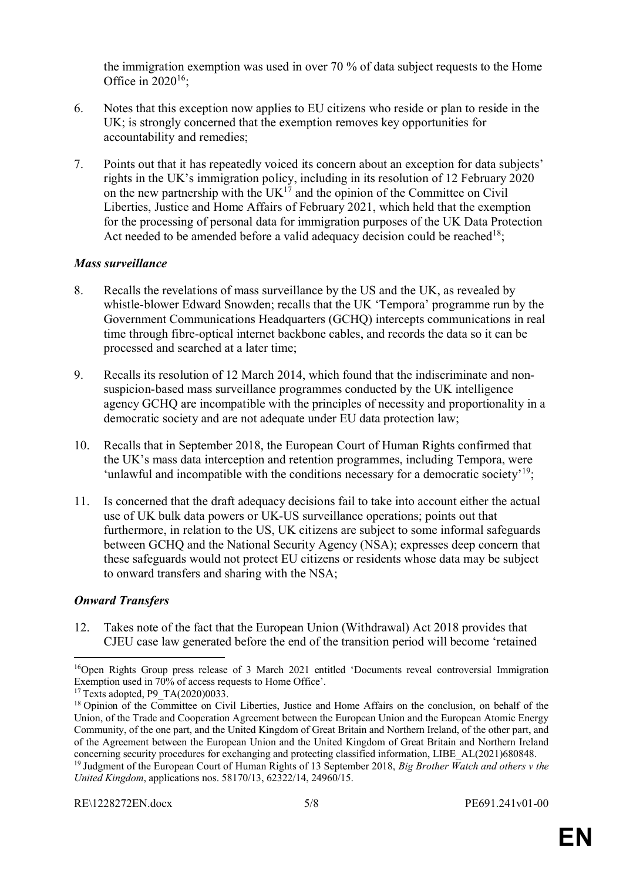the immigration exemption was used in over 70 % of data subject requests to the Home Office in  $2020^{16}$ ;

- 6. Notes that this exception now applies to EU citizens who reside or plan to reside in the UK; is strongly concerned that the exemption removes key opportunities for accountability and remedies;
- 7. Points out that it has repeatedly voiced its concern about an exception for data subjects' rights in the UK's immigration policy, including in its resolution of 12 February 2020 on the new partnership with the UK<sup>17</sup> and the opinion of the Committee on Civil Liberties, Justice and Home Affairs of February 2021, which held that the exemption for the processing of personal data for immigration purposes of the UK Data Protection Act needed to be amended before a valid adequacy decision could be reached  $18$ .

#### *Mass surveillance*

- 8. Recalls the revelations of mass surveillance by the US and the UK, as revealed by whistle-blower Edward Snowden; recalls that the UK 'Tempora' programme run by the Government Communications Headquarters (GCHQ) intercepts communications in real time through fibre-optical internet backbone cables, and records the data so it can be processed and searched at a later time;
- 9. Recalls its resolution of 12 March 2014, which found that the indiscriminate and nonsuspicion-based mass surveillance programmes conducted by the UK intelligence agency GCHQ are incompatible with the principles of necessity and proportionality in a democratic society and are not adequate under EU data protection law;
- 10. Recalls that in September 2018, the European Court of Human Rights confirmed that the UK's mass data interception and retention programmes, including Tempora, were 'unlawful and incompatible with the conditions necessary for a democratic society'<sup>19</sup>;
- 11. Is concerned that the draft adequacy decisions fail to take into account either the actual use of UK bulk data powers or UK-US surveillance operations; points out that furthermore, in relation to the US, UK citizens are subject to some informal safeguards between GCHQ and the National Security Agency (NSA); expresses deep concern that these safeguards would not protect EU citizens or residents whose data may be subject to onward transfers and sharing with the NSA;

### *Onward Transfers*

 $\overline{a}$ 

12. Takes note of the fact that the European Union (Withdrawal) Act 2018 provides that CJEU case law generated before the end of the transition period will become 'retained

<sup>16</sup>Open Rights Group press release of 3 March 2021 entitled 'Documents reveal controversial Immigration Exemption used in 70% of access requests to Home Office'.

<sup>&</sup>lt;sup>17</sup> Texts adopted, P9\_TA(2020)0033.

<sup>&</sup>lt;sup>18</sup> Opinion of the Committee on Civil Liberties, Justice and Home Affairs on the conclusion, on behalf of the Union, of the Trade and Cooperation Agreement between the European Union and the European Atomic Energy Community, of the one part, and the United Kingdom of Great Britain and Northern Ireland, of the other part, and of the Agreement between the European Union and the United Kingdom of Great Britain and Northern Ireland concerning security procedures for exchanging and protecting classified information, LIBE\_AL(2021)680848. <sup>19</sup> Judgment of the European Court of Human Rights of 13 September 2018, *Big Brother Watch and others v the United Kingdom*, applications nos. 58170/13, 62322/14, 24960/15.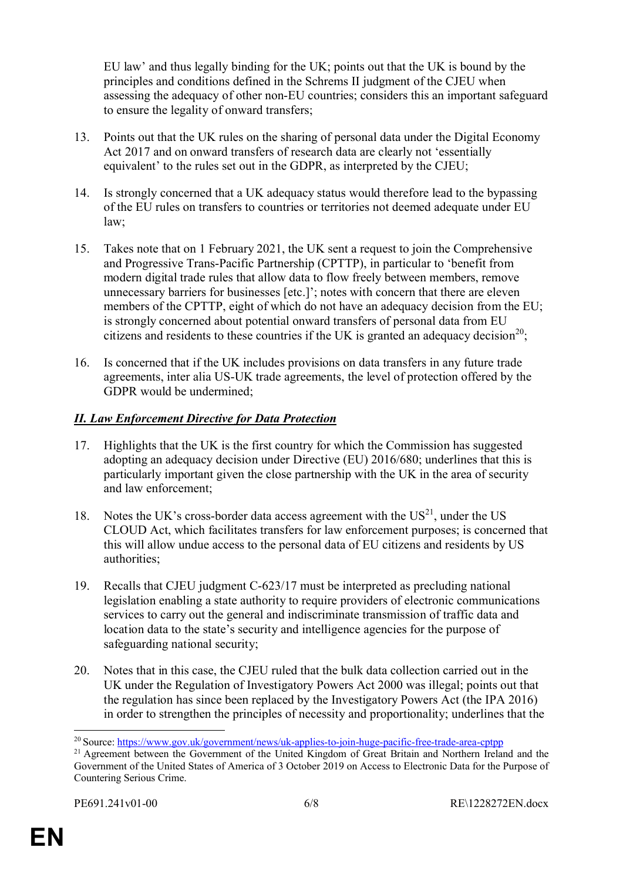EU law' and thus legally binding for the UK; points out that the UK is bound by the principles and conditions defined in the Schrems II judgment of the CJEU when assessing the adequacy of other non-EU countries; considers this an important safeguard to ensure the legality of onward transfers;

- 13. Points out that the UK rules on the sharing of personal data under the Digital Economy Act 2017 and on onward transfers of research data are clearly not 'essentially equivalent' to the rules set out in the GDPR, as interpreted by the CJEU;
- 14. Is strongly concerned that a UK adequacy status would therefore lead to the bypassing of the EU rules on transfers to countries or territories not deemed adequate under EU law;
- 15. Takes note that on 1 February 2021, the UK sent a request to join the Comprehensive and Progressive Trans-Pacific Partnership (CPTTP), in particular to 'benefit from modern digital trade rules that allow data to flow freely between members, remove unnecessary barriers for businesses [etc.]'; notes with concern that there are eleven members of the CPTTP, eight of which do not have an adequacy decision from the EU; is strongly concerned about potential onward transfers of personal data from EU citizens and residents to these countries if the UK is granted an adequacy decision<sup>20</sup>;
- 16. Is concerned that if the UK includes provisions on data transfers in any future trade agreements, inter alia US-UK trade agreements, the level of protection offered by the GDPR would be undermined;

# *II. Law Enforcement Directive for Data Protection*

- 17. Highlights that the UK is the first country for which the Commission has suggested adopting an adequacy decision under Directive (EU) 2016/680; underlines that this is particularly important given the close partnership with the UK in the area of security and law enforcement;
- 18. Notes the UK's cross-border data access agreement with the  $US^{21}$ , under the US CLOUD Act, which facilitates transfers for law enforcement purposes; is concerned that this will allow undue access to the personal data of EU citizens and residents by US authorities;
- 19. Recalls that CJEU judgment C-623/17 must be interpreted as precluding national legislation enabling a state authority to require providers of electronic communications services to carry out the general and indiscriminate transmission of traffic data and location data to the state's security and intelligence agencies for the purpose of safeguarding national security;
- 20. Notes that in this case, the CJEU ruled that the bulk data collection carried out in the UK under the Regulation of Investigatory Powers Act 2000 was illegal; points out that the regulation has since been replaced by the Investigatory Powers Act (the IPA 2016) in order to strengthen the principles of necessity and proportionality; underlines that the

 $\overline{a}$ <sup>20</sup> Source: https://www.gov.uk/government/news/uk-applies-to-join-huge-pacific-free-trade-area-cptpp

<sup>&</sup>lt;sup>21</sup> Agreement between the Government of the United Kingdom of Great Britain and Northern Ireland and the Government of the United States of America of 3 October 2019 on Access to Electronic Data for the Purpose of Countering Serious Crime.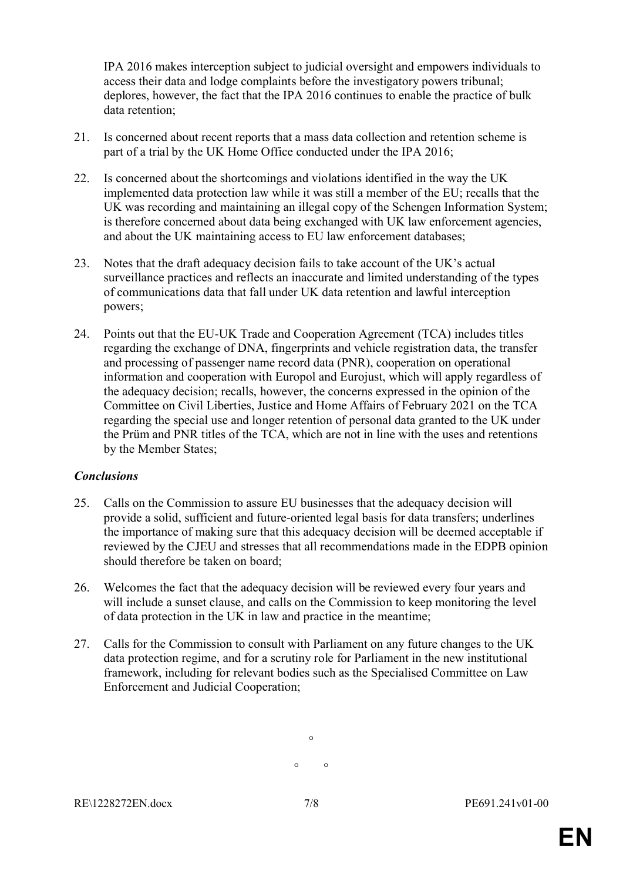IPA 2016 makes interception subject to judicial oversight and empowers individuals to access their data and lodge complaints before the investigatory powers tribunal; deplores, however, the fact that the IPA 2016 continues to enable the practice of bulk data retention;

- 21. Is concerned about recent reports that a mass data collection and retention scheme is part of a trial by the UK Home Office conducted under the IPA 2016;
- 22. Is concerned about the shortcomings and violations identified in the way the UK implemented data protection law while it was still a member of the EU; recalls that the UK was recording and maintaining an illegal copy of the Schengen Information System; is therefore concerned about data being exchanged with UK law enforcement agencies, and about the UK maintaining access to EU law enforcement databases;
- 23. Notes that the draft adequacy decision fails to take account of the UK's actual surveillance practices and reflects an inaccurate and limited understanding of the types of communications data that fall under UK data retention and lawful interception powers;
- 24. Points out that the EU-UK Trade and Cooperation Agreement (TCA) includes titles regarding the exchange of DNA, fingerprints and vehicle registration data, the transfer and processing of passenger name record data (PNR), cooperation on operational information and cooperation with Europol and Eurojust, which will apply regardless of the adequacy decision; recalls, however, the concerns expressed in the opinion of the Committee on Civil Liberties, Justice and Home Affairs of February 2021 on the TCA regarding the special use and longer retention of personal data granted to the UK under the Prüm and PNR titles of the TCA, which are not in line with the uses and retentions by the Member States;

### *Conclusions*

- 25. Calls on the Commission to assure EU businesses that the adequacy decision will provide a solid, sufficient and future-oriented legal basis for data transfers; underlines the importance of making sure that this adequacy decision will be deemed acceptable if reviewed by the CJEU and stresses that all recommendations made in the EDPB opinion should therefore be taken on board;
- 26. Welcomes the fact that the adequacy decision will be reviewed every four years and will include a sunset clause, and calls on the Commission to keep monitoring the level of data protection in the UK in law and practice in the meantime;
- 27. Calls for the Commission to consult with Parliament on any future changes to the UK data protection regime, and for a scrutiny role for Parliament in the new institutional framework, including for relevant bodies such as the Specialised Committee on Law Enforcement and Judicial Cooperation;

 $\circ$  $\circ$   $\circ$ 

RE\1228272EN.docx 7/8 PE691.241v01-00